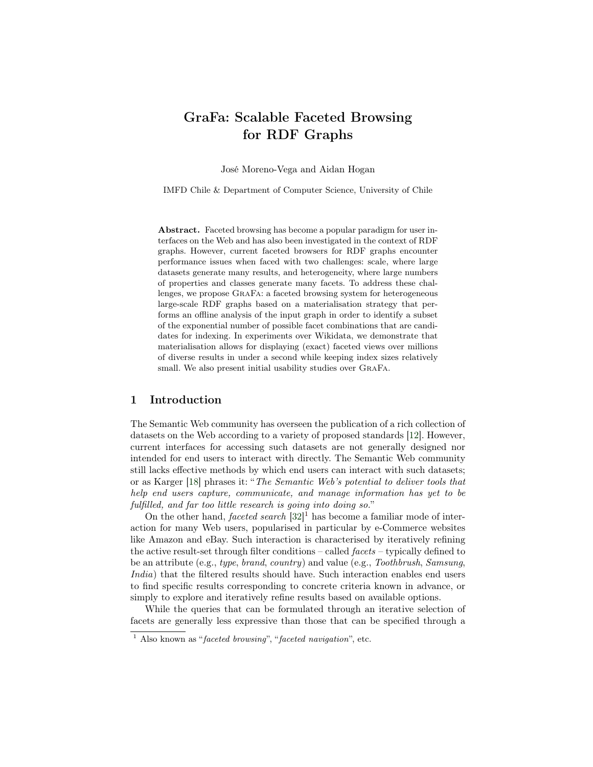# GraFa: Scalable Faceted Browsing for RDF Graphs

José Moreno-Vega and Aidan Hogan

IMFD Chile & Department of Computer Science, University of Chile

Abstract. Faceted browsing has become a popular paradigm for user interfaces on the Web and has also been investigated in the context of RDF graphs. However, current faceted browsers for RDF graphs encounter performance issues when faced with two challenges: scale, where large datasets generate many results, and heterogeneity, where large numbers of properties and classes generate many facets. To address these challenges, we propose GraFa: a faceted browsing system for heterogeneous large-scale RDF graphs based on a materialisation strategy that performs an offline analysis of the input graph in order to identify a subset of the exponential number of possible facet combinations that are candidates for indexing. In experiments over Wikidata, we demonstrate that materialisation allows for displaying (exact) faceted views over millions of diverse results in under a second while keeping index sizes relatively small. We also present initial usability studies over GraFa.

#### 1 Introduction

The Semantic Web community has overseen the publication of a rich collection of datasets on the Web according to a variety of proposed standards [\[12\]](#page-14-0). However, current interfaces for accessing such datasets are not generally designed nor intended for end users to interact with directly. The Semantic Web community still lacks effective methods by which end users can interact with such datasets; or as Karger [\[18\]](#page-15-0) phrases it: "The Semantic Web's potential to deliver tools that help end users capture, communicate, and manage information has yet to be fulfilled, and far too little research is going into doing so."

On the other hand, *faceted search*  $[32]$ <sup>[1](#page-0-0)</sup> has become a familiar mode of interaction for many Web users, popularised in particular by e-Commerce websites like Amazon and eBay. Such interaction is characterised by iteratively refining the active result-set through filter conditions – called facets – typically defined to be an attribute (e.g., type, brand, country) and value (e.g., Toothbrush, Samsung, India) that the filtered results should have. Such interaction enables end users to find specific results corresponding to concrete criteria known in advance, or simply to explore and iteratively refine results based on available options.

While the queries that can be formulated through an iterative selection of facets are generally less expressive than those that can be specified through a

<span id="page-0-0"></span><sup>&</sup>lt;sup>1</sup> Also known as "faceted browsing", "faceted navigation", etc.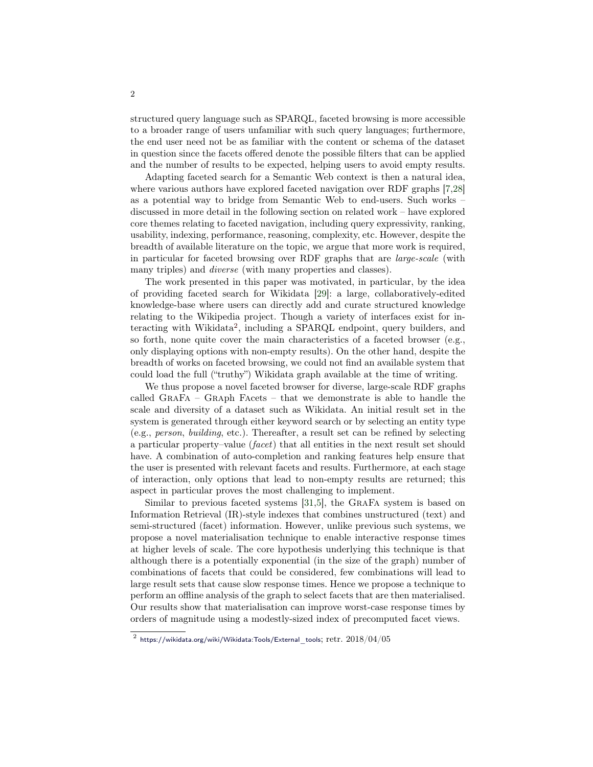structured query language such as SPARQL, faceted browsing is more accessible to a broader range of users unfamiliar with such query languages; furthermore, the end user need not be as familiar with the content or schema of the dataset in question since the facets offered denote the possible filters that can be applied and the number of results to be expected, helping users to avoid empty results.

Adapting faceted search for a Semantic Web context is then a natural idea, where various authors have explored faceted navigation over RDF graphs [\[7,](#page-14-1)[28\]](#page-15-2) as a potential way to bridge from Semantic Web to end-users. Such works – discussed in more detail in the following section on related work – have explored core themes relating to faceted navigation, including query expressivity, ranking, usability, indexing, performance, reasoning, complexity, etc. However, despite the breadth of available literature on the topic, we argue that more work is required, in particular for faceted browsing over RDF graphs that are large-scale (with many triples) and *diverse* (with many properties and classes).

The work presented in this paper was motivated, in particular, by the idea of providing faceted search for Wikidata [\[29\]](#page-15-3): a large, collaboratively-edited knowledge-base where users can directly add and curate structured knowledge relating to the Wikipedia project. Though a variety of interfaces exist for in-teracting with Wikidata<sup>[2](#page-1-0)</sup>, including a SPARQL endpoint, query builders, and so forth, none quite cover the main characteristics of a faceted browser (e.g., only displaying options with non-empty results). On the other hand, despite the breadth of works on faceted browsing, we could not find an available system that could load the full ("truthy") Wikidata graph available at the time of writing.

We thus propose a novel faceted browser for diverse, large-scale RDF graphs called GraFa – Graph Facets – that we demonstrate is able to handle the scale and diversity of a dataset such as Wikidata. An initial result set in the system is generated through either keyword search or by selecting an entity type (e.g., person, building, etc.). Thereafter, a result set can be refined by selecting a particular property–value (facet) that all entities in the next result set should have. A combination of auto-completion and ranking features help ensure that the user is presented with relevant facets and results. Furthermore, at each stage of interaction, only options that lead to non-empty results are returned; this aspect in particular proves the most challenging to implement.

Similar to previous faceted systems [\[31,](#page-15-4)[5\]](#page-14-2), the GraFa system is based on Information Retrieval (IR)-style indexes that combines unstructured (text) and semi-structured (facet) information. However, unlike previous such systems, we propose a novel materialisation technique to enable interactive response times at higher levels of scale. The core hypothesis underlying this technique is that although there is a potentially exponential (in the size of the graph) number of combinations of facets that could be considered, few combinations will lead to large result sets that cause slow response times. Hence we propose a technique to perform an offline analysis of the graph to select facets that are then materialised. Our results show that materialisation can improve worst-case response times by orders of magnitude using a modestly-sized index of precomputed facet views.

<span id="page-1-0"></span> $^2$  [https://wikidata.org/wiki/Wikidata:Tools/External\\_tools](https://wikidata.org/wiki/Wikidata:Tools/External_tools);  $\mathrm{retr.}~2018/04/05$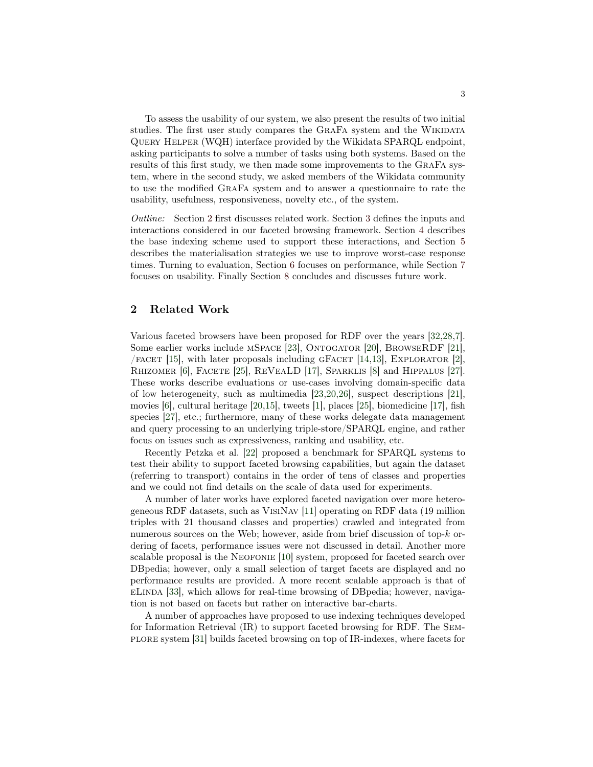To assess the usability of our system, we also present the results of two initial studies. The first user study compares the GRAFA system and the WIKIDATA Query Helper (WQH) interface provided by the Wikidata SPARQL endpoint, asking participants to solve a number of tasks using both systems. Based on the results of this first study, we then made some improvements to the GraFa system, where in the second study, we asked members of the Wikidata community to use the modified GraFa system and to answer a questionnaire to rate the usability, usefulness, responsiveness, novelty etc., of the system.

Outline: Section [2](#page-2-0) first discusses related work. Section [3](#page-3-0) defines the inputs and interactions considered in our faceted browsing framework. Section [4](#page-5-0) describes the base indexing scheme used to support these interactions, and Section [5](#page-7-0) describes the materialisation strategies we use to improve worst-case response times. Turning to evaluation, Section [6](#page-9-0) focuses on performance, while Section [7](#page-11-0) focuses on usability. Finally Section [8](#page-13-0) concludes and discusses future work.

### <span id="page-2-0"></span>2 Related Work

Various faceted browsers have been proposed for RDF over the years [\[32,](#page-15-1)[28,](#page-15-2)[7\]](#page-14-1). Some earlier works include mSpace [\[23\]](#page-15-5), Ontogator [\[20\]](#page-15-6), BrowseRDF [\[21\]](#page-15-7),  $/$  FACET [\[15\]](#page-15-8), with later proposals including GFACET [\[14](#page-14-3)[,13\]](#page-14-4), EXPLORATOR [\[2\]](#page-14-5), RHIZOMER [\[6\]](#page-14-6), FACETE [\[25\]](#page-15-9), REVEALD [\[17\]](#page-15-10), SPARKLIS [\[8\]](#page-14-7) and HIPPALUS [\[27\]](#page-15-11). These works describe evaluations or use-cases involving domain-specific data of low heterogeneity, such as multimedia [\[23,](#page-15-5)[20,](#page-15-6)[26\]](#page-15-12), suspect descriptions [\[21\]](#page-15-7), movies  $[6]$ , cultural heritage  $[20,15]$  $[20,15]$ , tweets  $[1]$ , places  $[25]$ , biomedicine  $[17]$ , fish species [\[27\]](#page-15-11), etc.; furthermore, many of these works delegate data management and query processing to an underlying triple-store/SPARQL engine, and rather focus on issues such as expressiveness, ranking and usability, etc.

Recently Petzka et al. [\[22\]](#page-15-13) proposed a benchmark for SPARQL systems to test their ability to support faceted browsing capabilities, but again the dataset (referring to transport) contains in the order of tens of classes and properties and we could not find details on the scale of data used for experiments.

A number of later works have explored faceted navigation over more heterogeneous RDF datasets, such as VisiNav [\[11\]](#page-14-9) operating on RDF data (19 million triples with 21 thousand classes and properties) crawled and integrated from numerous sources on the Web; however, aside from brief discussion of top-k ordering of facets, performance issues were not discussed in detail. Another more scalable proposal is the NEOFONIE [\[10\]](#page-14-10) system, proposed for faceted search over DBpedia; however, only a small selection of target facets are displayed and no performance results are provided. A more recent scalable approach is that of eLinda [\[33\]](#page-15-14), which allows for real-time browsing of DBpedia; however, navigation is not based on facets but rather on interactive bar-charts.

A number of approaches have proposed to use indexing techniques developed for Information Retrieval (IR) to support faceted browsing for RDF. The Semplore system [\[31\]](#page-15-4) builds faceted browsing on top of IR-indexes, where facets for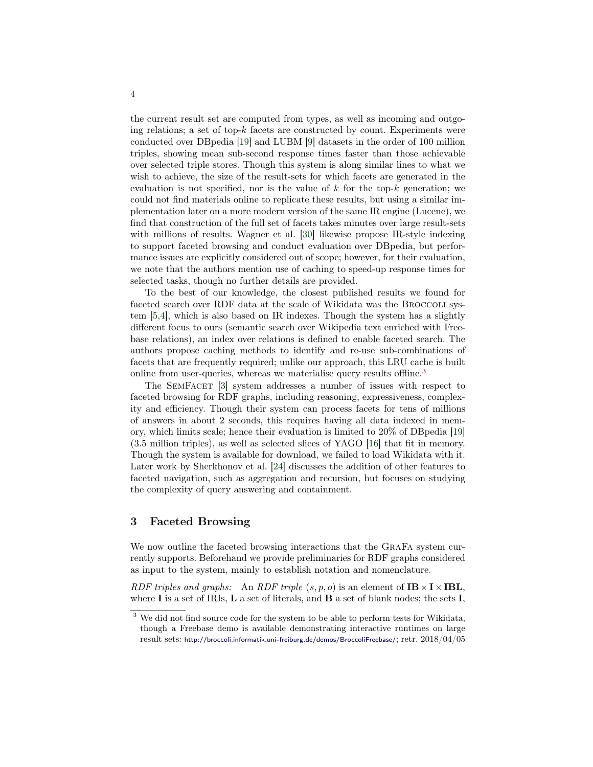the current result set are computed from types, as well as incoming and outgoing relations; a set of top- $k$  facets are constructed by count. Experiments were conducted over DBpedia [\[19\]](#page-15-15) and LUBM [\[9\]](#page-14-11) datasets in the order of 100 million triples, showing mean sub-second response times faster than those achievable over selected triple stores. Though this system is along similar lines to what we wish to achieve, the size of the result-sets for which facets are generated in the evaluation is not specified, nor is the value of  $k$  for the top- $k$  generation; we could not find materials online to replicate these results, but using a similar implementation later on a more modern version of the same IR engine (Lucene), we find that construction of the full set of facets takes minutes over large result-sets with millions of results. Wagner et al. [\[30\]](#page-15-16) likewise propose IR-style indexing to support faceted browsing and conduct evaluation over DBpedia, but performance issues are explicitly considered out of scope; however, for their evaluation, we note that the authors mention use of caching to speed-up response times for selected tasks, though no further details are provided.

To the best of our knowledge, the closest published results we found for faceted search over RDF data at the scale of Wikidata was the Broccoli system [\[5,](#page-14-2)[4\]](#page-14-12), which is also based on IR indexes. Though the system has a slightly different focus to ours (semantic search over Wikipedia text enriched with Freebase relations), an index over relations is defined to enable faceted search. The authors propose caching methods to identify and re-use sub-combinations of facets that are frequently required; unlike our approach, this LRU cache is built online from user-queries, whereas we materialise query results offline.<sup>[3](#page-3-1)</sup>

The SemFacet [\[3\]](#page-14-13) system addresses a number of issues with respect to faceted browsing for RDF graphs, including reasoning, expressiveness, complexity and efficiency. Though their system can process facets for tens of millions of answers in about 2 seconds, this requires having all data indexed in memory, which limits scale; hence their evaluation is limited to 20% of DBpedia [\[19\]](#page-15-15) (3.5 million triples), as well as selected slices of YAGO [\[16\]](#page-15-17) that fit in memory. Though the system is available for download, we failed to load Wikidata with it. Later work by Sherkhonov et al. [\[24\]](#page-15-18) discusses the addition of other features to faceted navigation, such as aggregation and recursion, but focuses on studying the complexity of query answering and containment.

#### <span id="page-3-0"></span>3 Faceted Browsing

We now outline the faceted browsing interactions that the GraFa system currently supports. Beforehand we provide preliminaries for RDF graphs considered as input to the system, mainly to establish notation and nomenclature.

RDF triples and graphs: An RDF triple  $(s, p, o)$  is an element of  $IB \times I \times IBL$ , where I is a set of IRIs,  $L$  a set of literals, and  $B$  a set of blank nodes; the sets I,

<span id="page-3-1"></span> $^3$  We did not find source code for the system to be able to perform tests for Wikidata, though a Freebase demo is available demonstrating interactive runtimes on large result sets: <http://broccoli.informatik.uni-freiburg.de/demos/BroccoliFreebase/>; retr. 2018/04/05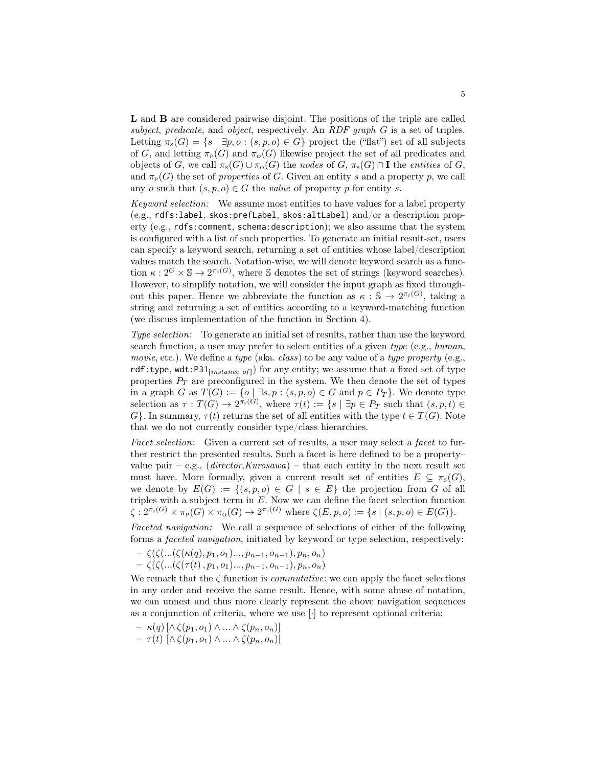L and B are considered pairwise disjoint. The positions of the triple are called subject, predicate, and object, respectively. An RDF graph  $G$  is a set of triples. Letting  $\pi_s(G) = \{s \mid \exists p, o : (s, p, o) \in G\}$  project the ("flat") set of all subjects of G, and letting  $\pi_P(G)$  and  $\pi_Q(G)$  likewise project the set of all predicates and objects of G, we call  $\pi_s(G) \cup \pi_o(G)$  the nodes of G,  $\pi_s(G) \cap \mathbf{I}$  the entities of G, and  $\pi_P(G)$  the set of *properties* of G. Given an entity s and a property p, we call any o such that  $(s, p, o) \in G$  the value of property p for entity s.

Keyword selection: We assume most entities to have values for a label property (e.g., rdfs:label, skos:prefLabel, skos:altLabel) and/or a description property (e.g., rdfs:comment, schema:description); we also assume that the system is configured with a list of such properties. To generate an initial result-set, users can specify a keyword search, returning a set of entities whose label/description values match the search. Notation-wise, we will denote keyword search as a function  $\kappa: 2^G \times \mathbb{S} \to 2^{\pi_s(G)}$ , where S denotes the set of strings (keyword searches). However, to simplify notation, we will consider the input graph as fixed throughout this paper. Hence we abbreviate the function as  $\kappa : \mathbb{S} \to 2^{\pi_s(G)}$ , taking a string and returning a set of entities according to a keyword-matching function (we discuss implementation of the function in Section [4\)](#page-5-0).

Type selection: To generate an initial set of results, rather than use the keyword search function, a user may prefer to select entities of a given type (e.g., human, movie, etc.). We define a type (aka. class) to be any value of a type property (e.g., rdf:type, wdt:P31<sub>[instance of]</sub>) for any entity; we assume that a fixed set of type properties  $P_T$  are preconfigured in the system. We then denote the set of types in a graph G as  $T(G) := \{o \mid \exists s, p : (s, p, o) \in G \text{ and } p \in P_T\}$ . We denote type selection as  $\tau: T(G) \to 2^{\pi_s(G)}$ , where  $\tau(t) := \{ s \mid \exists p \in P_T \text{ such that } (s, p, t) \in$  $G$ . In summary,  $\tau(t)$  returns the set of all entities with the type  $t \in T(G)$ . Note that we do not currently consider type/class hierarchies.

Facet selection: Given a current set of results, a user may select a facet to further restrict the presented results. Such a facet is here defined to be a property– value pair – e.g.,  $(director, Kurosawa)$  – that each entity in the next result set must have. More formally, given a current result set of entities  $E \subseteq \pi_s(G)$ , we denote by  $E(G) := \{(s, p, o) \in G \mid s \in E\}$  the projection from G of all triples with a subject term in  $E$ . Now we can define the facet selection function  $\zeta: 2^{\pi_s(G)} \times \pi_P(G) \times \pi_{\mathcal{O}}(G) \to 2^{\pi_s(G)}$  where  $\zeta(E, p, o) := \{s \mid (s, p, o) \in E(G)\}.$ 

Faceted navigation: We call a sequence of selections of either of the following forms a faceted navigation, initiated by keyword or type selection, respectively:

$$
- \zeta(\zeta(...(\zeta(\kappa(q),p_1,o_1)...,p_{n-1},o_{n-1}),p_n,o_n)) - \zeta(\zeta(...(\zeta(\tau(t),p_1,o_1)...,p_{n-1},o_{n-1}),p_n,o_n))
$$

We remark that the  $\zeta$  function is *commutative*: we can apply the facet selections in any order and receive the same result. Hence, with some abuse of notation, we can unnest and thus more clearly represent the above navigation sequences as a conjunction of criteria, where we use [·] to represent optional criteria:

- $\kappa(q) \left[ \wedge \zeta(p_1, o_1) \wedge ... \wedge \zeta(p_n, o_n) \right]$
- $\tau(t) \left[ \wedge \zeta(p_1, o_1) \wedge ... \wedge \zeta(p_n, o_n) \right]$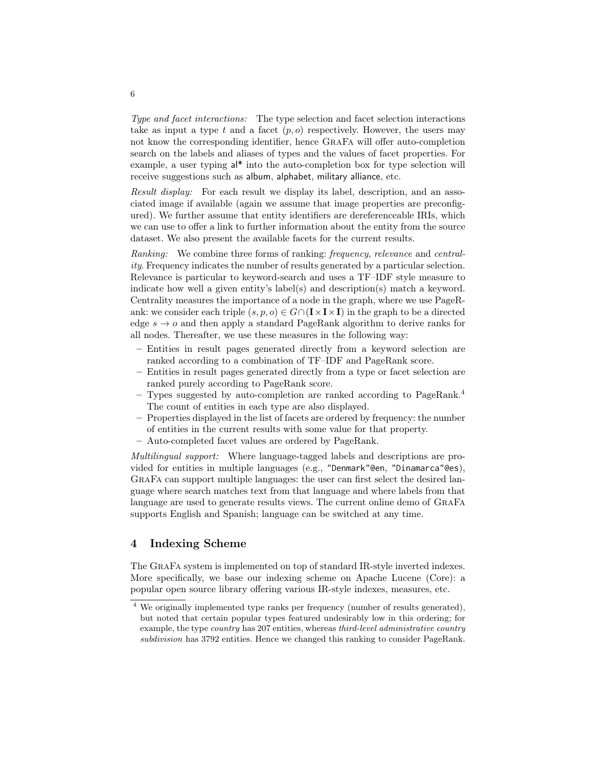Type and facet interactions: The type selection and facet selection interactions take as input a type t and a facet  $(p, o)$  respectively. However, the users may not know the corresponding identifier, hence GraFa will offer auto-completion search on the labels and aliases of types and the values of facet properties. For example, a user typing al\* into the auto-completion box for type selection will receive suggestions such as album, alphabet, military alliance, etc.

Result display: For each result we display its label, description, and an associated image if available (again we assume that image properties are preconfigured). We further assume that entity identifiers are dereferenceable IRIs, which we can use to offer a link to further information about the entity from the source dataset. We also present the available facets for the current results.

Ranking: We combine three forms of ranking: frequency, relevance and centrality. Frequency indicates the number of results generated by a particular selection. Relevance is particular to keyword-search and uses a TF–IDF style measure to indicate how well a given entity's label(s) and description(s) match a keyword. Centrality measures the importance of a node in the graph, where we use PageRank: we consider each triple  $(s, p, o) \in G \cap (\mathbf{I} \times \mathbf{I} \times \mathbf{I})$  in the graph to be a directed edge  $s \to o$  and then apply a standard PageRank algorithm to derive ranks for all nodes. Thereafter, we use these measures in the following way:

- Entities in result pages generated directly from a keyword selection are ranked according to a combination of TF–IDF and PageRank score.
- Entities in result pages generated directly from a type or facet selection are ranked purely according to PageRank score.
- Types suggested by auto-completion are ranked according to PageRank.<sup>[4](#page-5-1)</sup> The count of entities in each type are also displayed.
- Properties displayed in the list of facets are ordered by frequency: the number of entities in the current results with some value for that property.
- Auto-completed facet values are ordered by PageRank.

Multilingual support: Where language-tagged labels and descriptions are provided for entities in multiple languages (e.g., "Denmark"@en, "Dinamarca"@es), GraFa can support multiple languages: the user can first select the desired language where search matches text from that language and where labels from that language are used to generate results views. The current online demo of GraFa supports English and Spanish; language can be switched at any time.

# <span id="page-5-0"></span>4 Indexing Scheme

The GraFa system is implemented on top of standard IR-style inverted indexes. More specifically, we base our indexing scheme on Apache Lucene (Core): a popular open source library offering various IR-style indexes, measures, etc.

6

<span id="page-5-1"></span><sup>4</sup> We originally implemented type ranks per frequency (number of results generated), but noted that certain popular types featured undesirably low in this ordering; for example, the type country has 207 entities, whereas third-level administrative country subdivision has 3792 entities. Hence we changed this ranking to consider PageRank.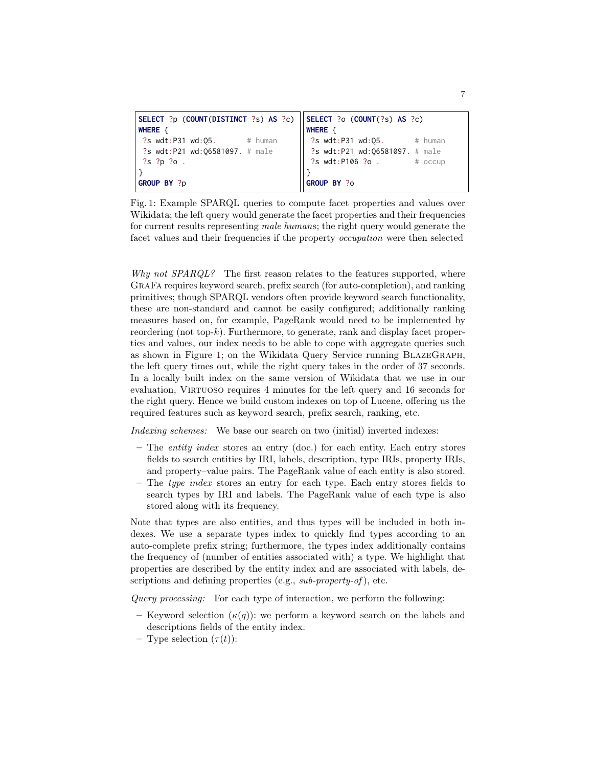```
SELECT ?p (COUNT(DISTINCT ?s) AS ?c)
WHERE {
?s wdt:P31 wd:05. # human
?s wdt:P21 wd:06581097. # male
?s ?p ?o .
}
GROUP BY ?p
                                     SELECT ?o (COUNT(?s) AS ?c)
                                     WHERE {
                                      ?s wdt:P31 wd:05. # human
                                      ?s wdt:P21 wd:Q6581097. # male
                                      ?s wdt:P106 ?o . # occup
                                     }
                                     GROUP BY ?o
```
Fig. 1: Example SPARQL queries to compute facet properties and values over Wikidata; the left query would generate the facet properties and their frequencies for current results representing male humans; the right query would generate the facet values and their frequencies if the property occupation were then selected

Why not SPARQL? The first reason relates to the features supported, where GraFa requires keyword search, prefix search (for auto-completion), and ranking primitives; though SPARQL vendors often provide keyword search functionality, these are non-standard and cannot be easily configured; additionally ranking measures based on, for example, PageRank would need to be implemented by reordering (not top-k). Furthermore, to generate, rank and display facet properties and values, our index needs to be able to cope with aggregate queries such as shown in Figure [1;](#page-6-0) on the Wikidata Query Service running BlazeGraph, the left query times out, while the right query takes in the order of 37 seconds. In a locally built index on the same version of Wikidata that we use in our evaluation, VIRTUOSO requires 4 minutes for the left query and 16 seconds for the right query. Hence we build custom indexes on top of Lucene, offering us the required features such as keyword search, prefix search, ranking, etc.

Indexing schemes: We base our search on two (initial) inverted indexes:

- The entity index stores an entry (doc.) for each entity. Each entry stores fields to search entities by IRI, labels, description, type IRIs, property IRIs, and property–value pairs. The PageRank value of each entity is also stored.
- $-$  The type index stores an entry for each type. Each entry stores fields to search types by IRI and labels. The PageRank value of each type is also stored along with its frequency.

Note that types are also entities, and thus types will be included in both indexes. We use a separate types index to quickly find types according to an auto-complete prefix string; furthermore, the types index additionally contains the frequency of (number of entities associated with) a type. We highlight that properties are described by the entity index and are associated with labels, descriptions and defining properties (e.g.,  $sub-property-of$ ), etc.

Query processing: For each type of interaction, we perform the following:

- Keyword selection  $(\kappa(q))$ : we perform a keyword search on the labels and descriptions fields of the entity index.
- Type selection  $(\tau(t))$ :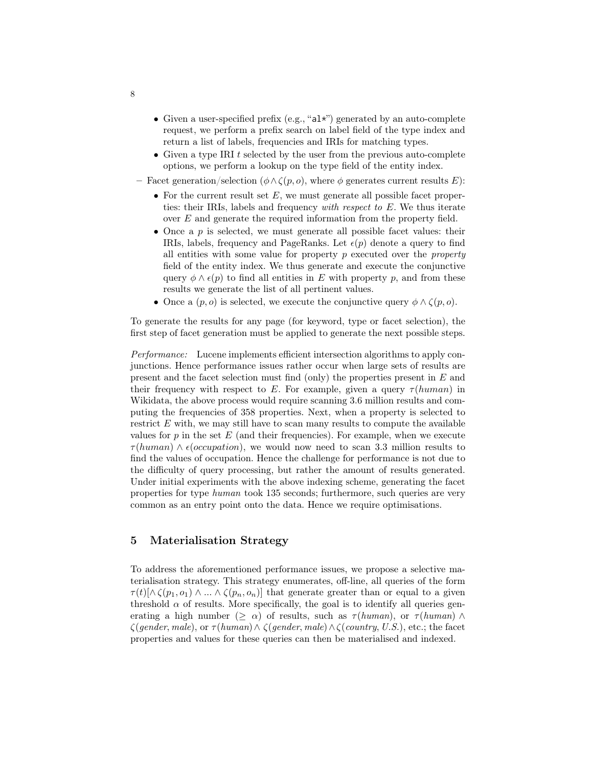- $\bullet\,$  Given a user-specified prefix (e.g., "al\*") generated by an auto-complete request, we perform a prefix search on label field of the type index and return a list of labels, frequencies and IRIs for matching types.
- Given a type IRI  $t$  selected by the user from the previous auto-complete options, we perform a lookup on the type field of the entity index.
- Facet generation/selection ( $\phi \wedge \zeta(p, o)$ , where  $\phi$  generates current results E):
	- For the current result set  $E$ , we must generate all possible facet properties: their IRIs, labels and frequency with respect to E. We thus iterate over E and generate the required information from the property field.
	- Once a  $p$  is selected, we must generate all possible facet values: their IRIs, labels, frequency and PageRanks. Let  $\epsilon(p)$  denote a query to find all entities with some value for property  $p$  executed over the *property* field of the entity index. We thus generate and execute the conjunctive query  $\phi \wedge \epsilon(p)$  to find all entities in E with property p, and from these results we generate the list of all pertinent values.
	- Once a  $(p, o)$  is selected, we execute the conjunctive query  $\phi \wedge \zeta(p, o)$ .

To generate the results for any page (for keyword, type or facet selection), the first step of facet generation must be applied to generate the next possible steps.

Performance: Lucene implements efficient intersection algorithms to apply conjunctions. Hence performance issues rather occur when large sets of results are present and the facet selection must find (only) the properties present in E and their frequency with respect to E. For example, given a query  $\tau(human)$  in Wikidata, the above process would require scanning 3.6 million results and computing the frequencies of 358 properties. Next, when a property is selected to restrict  $E$  with, we may still have to scan many results to compute the available values for  $p$  in the set  $E$  (and their frequencies). For example, when we execute  $\tau(human) \wedge \epsilon(occupation)$ , we would now need to scan 3.3 million results to find the values of occupation. Hence the challenge for performance is not due to the difficulty of query processing, but rather the amount of results generated. Under initial experiments with the above indexing scheme, generating the facet properties for type human took 135 seconds; furthermore, such queries are very common as an entry point onto the data. Hence we require optimisations.

# <span id="page-7-0"></span>5 Materialisation Strategy

To address the aforementioned performance issues, we propose a selective materialisation strategy. This strategy enumerates, off-line, all queries of the form  $\tau(t)[\wedge \zeta(p_1, o_1) \wedge ... \wedge \zeta(p_n, o_n)]$  that generate greater than or equal to a given threshold  $\alpha$  of results. More specifically, the goal is to identify all queries generating a high number ( $>\alpha$ ) of results, such as  $\tau(human)$ , or  $\tau(human)$  $\zeta(gender, male),$  or  $\tau(human) \wedge \zeta(gender, male) \wedge \zeta(country, U.S.),$  etc.; the facet properties and values for these queries can then be materialised and indexed.

8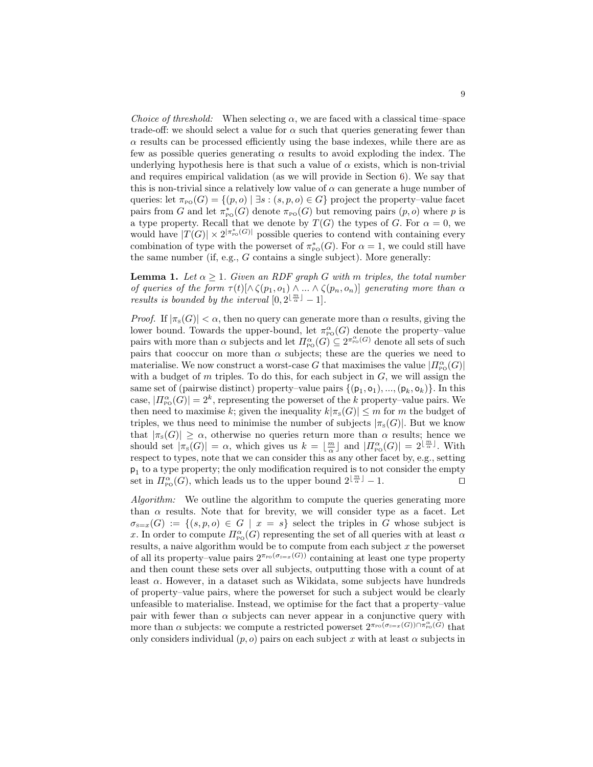Choice of threshold: When selecting  $\alpha$ , we are faced with a classical time–space trade-off: we should select a value for  $\alpha$  such that queries generating fewer than  $\alpha$  results can be processed efficiently using the base indexes, while there are as few as possible queries generating  $\alpha$  results to avoid exploding the index. The underlying hypothesis here is that such a value of  $\alpha$  exists, which is non-trivial and requires empirical validation (as we will provide in Section [6\)](#page-9-0). We say that this is non-trivial since a relatively low value of  $\alpha$  can generate a huge number of queries: let  $\pi_{\text{po}}(G) = \{(p, o) \mid \exists s : (s, p, o) \in G\}$  project the property–value facet pairs from G and let  $\pi_{\text{Po}}^*(G)$  denote  $\pi_{\text{Po}}(G)$  but removing pairs  $(p, o)$  where p is a type property. Recall that we denote by  $T(G)$  the types of G. For  $\alpha = 0$ , we would have  $|T(G)| \times 2^{|\pi^*_{\text{po}}(G)|}$  possible queries to contend with containing every combination of type with the powerset of  $\pi_{\text{po}}^*(G)$ . For  $\alpha = 1$ , we could still have the same number (if, e.g., G contains a single subject). More generally:

**Lemma 1.** Let  $\alpha \geq 1$ . Given an RDF graph G with m triples, the total number of queries of the form  $\tau(t)[\wedge \zeta(p_1, o_1) \wedge ... \wedge \zeta(p_n, o_n)]$  generating more than  $\alpha$ results is bounded by the interval  $[0, 2^{\lfloor \frac{m}{\alpha} \rfloor} - 1]$ .

*Proof.* If  $|\pi_s(G)| < \alpha$ , then no query can generate more than  $\alpha$  results, giving the lower bound. Towards the upper-bound, let  $\pi_{\text{po}}^{\alpha}(G)$  denote the property-value pairs with more than  $\alpha$  subjects and let  $\Pi^{\alpha}_{\text{po}}(G) \subseteq 2^{\pi^{\alpha}_{\text{po}}(G)}$  denote all sets of such pairs that cooccur on more than  $\alpha$  subjects; these are the queries we need to materialise. We now construct a worst-case G that maximises the value  $|I_{\text{po}}^{\alpha}(G)|$ with a budget of  $m$  triples. To do this, for each subject in  $G$ , we will assign the same set of (pairwise distinct) property-value pairs  $\{(\mathsf{p}_1,\mathsf{o}_1),...,\allowbreak(\mathsf{p}_k,\mathsf{o}_k)\}\$ . In this case,  $|I_{\rm po}^{\alpha}(G)|=2^k$ , representing the powerset of the k property-value pairs. We then need to maximise k; given the inequality  $k|\pi_{s}(G)| \leq m$  for m the budget of triples, we thus need to minimise the number of subjects  $|\pi_{s}(G)|$ . But we know that  $|\pi_{s}(G)| \geq \alpha$ , otherwise no queries return more than  $\alpha$  results; hence we should set  $|\pi_s(G)| = \alpha$ , which gives us  $k = \lfloor \frac{m}{\alpha} \rfloor$  and  $|\Pi_{\text{PO}}^{\alpha}(G)| = 2^{\lfloor \frac{m}{\alpha} \rfloor}$ . With respect to types, note that we can consider this as any other facet by, e.g., setting p1 to a type property; the only modification required is to not consider the empty set in  $\overline{H_{\rm PO}^{\alpha}}(G)$ , which leads us to the upper bound  $2^{\lfloor \frac{m}{\alpha}\rfloor} - 1$ .

Algorithm: We outline the algorithm to compute the queries generating more than  $\alpha$  results. Note that for brevity, we will consider type as a facet. Let  $\sigma_{s=x}(G) := \{(s,p,o) \in G \mid x = s\}$  select the triples in G whose subject is x. In order to compute  $\Pi_{\text{PO}}^{\alpha}(G)$  representing the set of all queries with at least  $\alpha$ results, a naive algorithm would be to compute from each subject  $x$  the powerset of all its property–value pairs  $2^{\pi_{p_0}(\sigma_{s=x}(G))}$  containing at least one type property and then count these sets over all subjects, outputting those with a count of at least  $\alpha$ . However, in a dataset such as Wikidata, some subjects have hundreds of property–value pairs, where the powerset for such a subject would be clearly unfeasible to materialise. Instead, we optimise for the fact that a property–value pair with fewer than  $\alpha$  subjects can never appear in a conjunctive query with more than  $\alpha$  subjects: we compute a restricted powerset  $2^{\pi_{\text{PO}}(\sigma_{\text{S}=x}(G)) \cap \pi_{\text{PO}}^{\alpha}(\check{G})}$  that only considers individual  $(p, o)$  pairs on each subject x with at least  $\alpha$  subjects in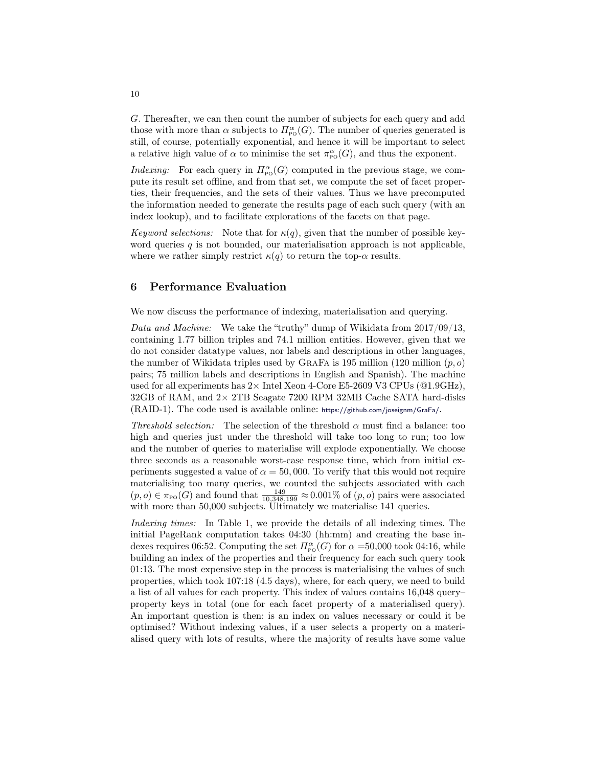G. Thereafter, we can then count the number of subjects for each query and add those with more than  $\alpha$  subjects to  $\Pi_{\text{po}}^{\alpha}(G)$ . The number of queries generated is still, of course, potentially exponential, and hence it will be important to select a relative high value of  $\alpha$  to minimise the set  $\pi_{\text{po}}^{\alpha}(G)$ , and thus the exponent.

*Indexing:* For each query in  $\Pi_{\text{po}}^{\alpha}(G)$  computed in the previous stage, we compute its result set offline, and from that set, we compute the set of facet properties, their frequencies, and the sets of their values. Thus we have precomputed the information needed to generate the results page of each such query (with an index lookup), and to facilitate explorations of the facets on that page.

Keyword selections: Note that for  $\kappa(q)$ , given that the number of possible keyword queries  $q$  is not bounded, our materialisation approach is not applicable, where we rather simply restrict  $\kappa(q)$  to return the top- $\alpha$  results.

# <span id="page-9-0"></span>6 Performance Evaluation

We now discuss the performance of indexing, materialisation and querying.

Data and Machine: We take the "truthy" dump of Wikidata from 2017/09/13, containing 1.77 billion triples and 74.1 million entities. However, given that we do not consider datatype values, nor labels and descriptions in other languages, the number of Wikidata triples used by GRAFA is 195 million (120 million  $(p, o)$ ) pairs; 75 million labels and descriptions in English and Spanish). The machine used for all experiments has  $2 \times$  Intel Xeon 4-Core E5-2609 V3 CPUs ( $@1.9\text{GHz}$ ),  $32GB$  of RAM, and  $2\times$  2TB Seagate 7200 RPM 32MB Cache SATA hard-disks (RAID-1). The code used is available online: <https://github.com/joseignm/GraFa/>.

Threshold selection: The selection of the threshold  $\alpha$  must find a balance: too high and queries just under the threshold will take too long to run; too low and the number of queries to materialise will explode exponentially. We choose three seconds as a reasonable worst-case response time, which from initial experiments suggested a value of  $\alpha = 50,000$ . To verify that this would not require materialising too many queries, we counted the subjects associated with each  $(p, o) \in \pi_{\text{Po}}(G)$  and found that  $\frac{149}{10,348,199} \approx 0.001\%$  of  $(p, o)$  pairs were associated with more than 50,000 subjects. Ultimately we materialise 141 queries.

Indexing times: In Table [1,](#page-10-0) we provide the details of all indexing times. The initial PageRank computation takes 04:30 (hh:mm) and creating the base indexes requires 06:52. Computing the set  $\Pi_{\text{po}}^{\alpha}(G)$  for  $\alpha = 50,000$  took 04:16, while building an index of the properties and their frequency for each such query took 01:13. The most expensive step in the process is materialising the values of such properties, which took 107:18 (4.5 days), where, for each query, we need to build a list of all values for each property. This index of values contains 16,048 query– property keys in total (one for each facet property of a materialised query). An important question is then: is an index on values necessary or could it be optimised? Without indexing values, if a user selects a property on a materialised query with lots of results, where the majority of results have some value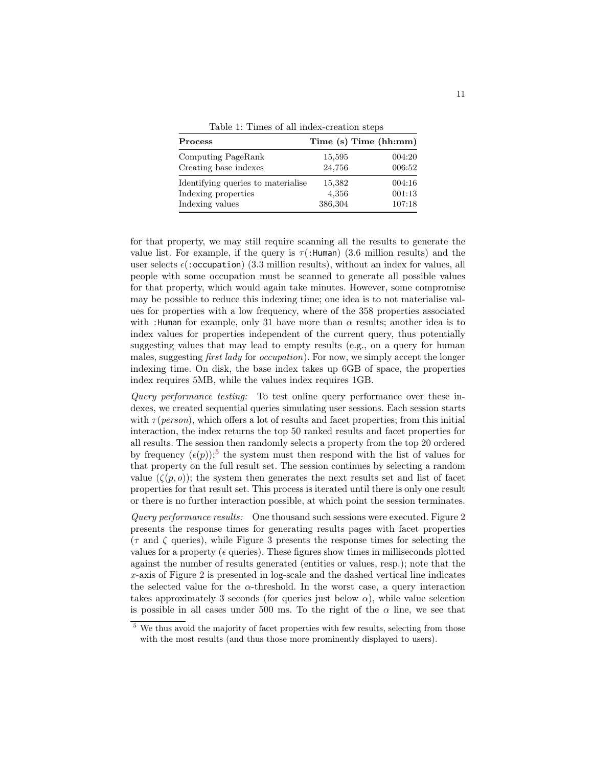Table 1: Times of all index-creation steps

<span id="page-10-0"></span>

| <b>Process</b>                     |         | Time (s) Time (hh:mm) |
|------------------------------------|---------|-----------------------|
| Computing PageRank                 | 15,595  | 004:20                |
| Creating base indexes              | 24,756  | 006:52                |
| Identifying queries to materialise | 15,382  | 004:16                |
| Indexing properties                | 4,356   | 001:13                |
| Indexing values                    | 386,304 | 107:18                |

for that property, we may still require scanning all the results to generate the value list. For example, if the query is  $\tau$ (:Human) (3.6 million results) and the user selects  $\epsilon$  (: occupation) (3.3 million results), without an index for values, all people with some occupation must be scanned to generate all possible values for that property, which would again take minutes. However, some compromise may be possible to reduce this indexing time; one idea is to not materialise values for properties with a low frequency, where of the 358 properties associated with :Human for example, only 31 have more than  $\alpha$  results; another idea is to index values for properties independent of the current query, thus potentially suggesting values that may lead to empty results (e.g., on a query for human males, suggesting first lady for occupation). For now, we simply accept the longer indexing time. On disk, the base index takes up 6GB of space, the properties index requires 5MB, while the values index requires 1GB.

Query performance testing: To test online query performance over these indexes, we created sequential queries simulating user sessions. Each session starts with  $\tau(\text{person})$ , which offers a lot of results and facet properties; from this initial interaction, the index returns the top 50 ranked results and facet properties for all results. The session then randomly selects a property from the top 20 ordered by frequency  $(\epsilon(p))$ ;<sup>[5](#page-10-1)</sup> the system must then respond with the list of values for that property on the full result set. The session continues by selecting a random value  $(\zeta(p, o))$ ; the system then generates the next results set and list of facet properties for that result set. This process is iterated until there is only one result or there is no further interaction possible, at which point the session terminates.

Query performance results: One thousand such sessions were executed. Figure [2](#page-11-1) presents the response times for generating results pages with facet properties  $(\tau \text{ and } \zeta \text{ queries})$ , while Figure [3](#page-11-1) presents the response times for selecting the values for a property ( $\epsilon$  queries). These figures show times in milliseconds plotted against the number of results generated (entities or values, resp.); note that the  $x$ -axis of Figure [2](#page-11-1) is presented in log-scale and the dashed vertical line indicates the selected value for the  $\alpha$ -threshold. In the worst case, a query interaction takes approximately 3 seconds (for queries just below  $\alpha$ ), while value selection is possible in all cases under 500 ms. To the right of the  $\alpha$  line, we see that

<span id="page-10-1"></span><sup>&</sup>lt;sup>5</sup> We thus avoid the majority of facet properties with few results, selecting from those with the most results (and thus those more prominently displayed to users).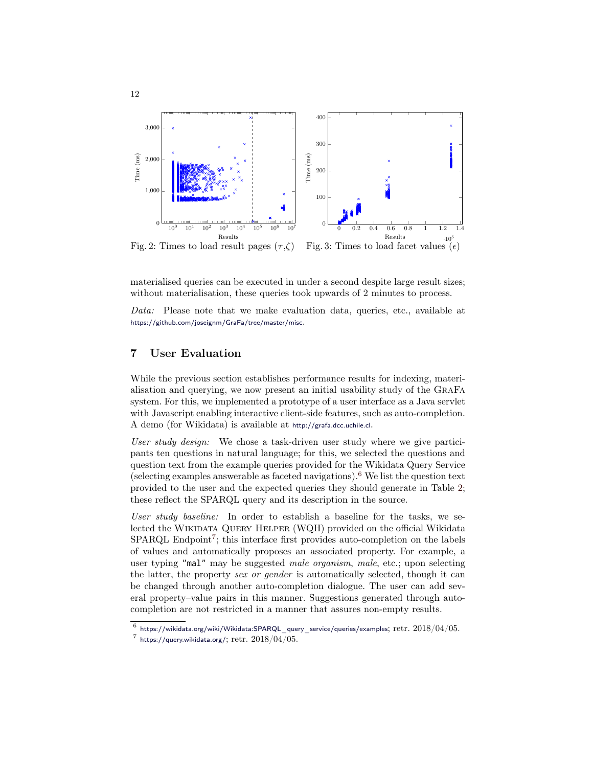<span id="page-11-1"></span>

materialised queries can be executed in under a second despite large result sizes; without materialisation, these queries took upwards of 2 minutes to process.

Data: Please note that we make evaluation data, queries, etc., available at <https://github.com/joseignm/GraFa/tree/master/misc>.

# <span id="page-11-0"></span>7 User Evaluation

While the previous section establishes performance results for indexing, materialisation and querying, we now present an initial usability study of the GraFa system. For this, we implemented a prototype of a user interface as a Java servlet with Javascript enabling interactive client-side features, such as auto-completion. A demo (for Wikidata) is available at <http://grafa.dcc.uchile.cl>.

User study design: We chose a task-driven user study where we give participants ten questions in natural language; for this, we selected the questions and question text from the example queries provided for the Wikidata Query Service (selecting examples answerable as faceted navigations).<sup>[6](#page-11-2)</sup> We list the question text provided to the user and the expected queries they should generate in Table [2;](#page-12-0) these reflect the SPARQL query and its description in the source.

User study baseline: In order to establish a baseline for the tasks, we selected the Wikidata Query Helper (WQH) provided on the official Wikidata SPARQL Endpoint<sup>[7](#page-11-3)</sup>; this interface first provides auto-completion on the labels of values and automatically proposes an associated property. For example, a user typing "mal" may be suggested *male organism*, *male*, etc.; upon selecting the latter, the property sex or gender is automatically selected, though it can be changed through another auto-completion dialogue. The user can add several property–value pairs in this manner. Suggestions generated through autocompletion are not restricted in a manner that assures non-empty results.

<span id="page-11-2"></span> $^6$  https://wikidata.org/wiki/Wikidata:SPARQL query service/queries/examples;  $\mathrm{retr.}~2018/04/05.$ 

<span id="page-11-3"></span> $^7$  <https://query.wikidata.org/>;  ${\rm retro}$ :  $2018/04/05$ .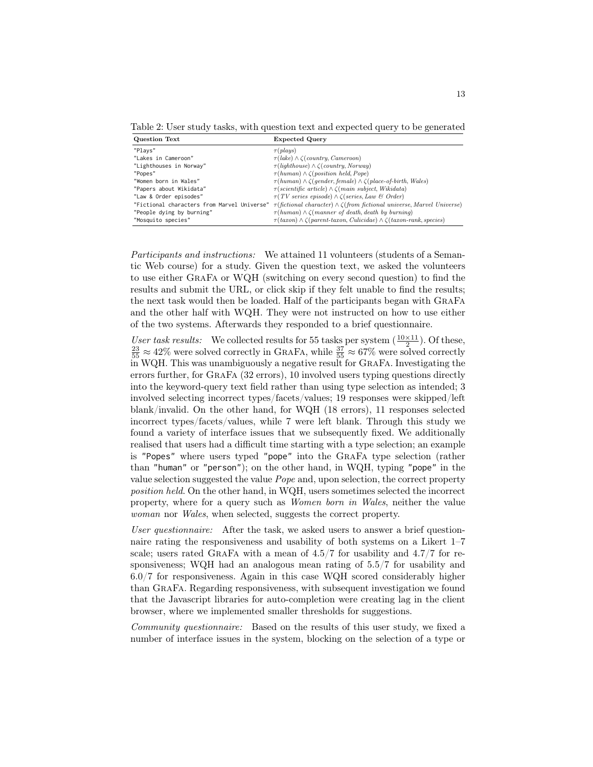<span id="page-12-0"></span>Table 2: User study tasks, with question text and expected query to be generated

| <b>Question Text</b>                        | <b>Expected Query</b>                                                                         |
|---------------------------------------------|-----------------------------------------------------------------------------------------------|
| "Plavs"                                     | $\tau(\text{plays})$                                                                          |
| "Lakes in Cameroon"                         | $\tau(lake) \wedge \zeta$ (country, Cameroon)                                                 |
| "Lighthouses in Norway"                     | $\tau(lighthouse) \wedge \zeta( country, Norway)$                                             |
| "Popes"                                     | $\tau(human) \wedge \zeta(position \ held, Pope)$                                             |
| "Women born in Wales"                       | $\tau(human) \wedge \zeta(gender, female) \wedge \zeta(place-of-birth, Wales)$                |
| "Papers about Wikidata"                     | $\tau(\text{scientific article}) \wedge \zeta(\text{main subject}, \text{Wikidata})$          |
| "Law & Order episodes"                      | $\tau(TV \text{ series episode}) \wedge \zeta(\text{series, Law } \mathcal{B} \text{ Order})$ |
| "Fictional characters from Marvel Universe" | $\tau(fictional \ character) \wedge \zeta(from \ fictional \ universe, Marvel \ Universe)$    |
| "People dying by burning"                   | $\tau(human) \wedge \zeta(manner of death, death by burning)$                                 |
| "Mosquito species"                          | $\tau(taxon) \wedge \zeta(parent-taxon, Culicidae) \wedge \zeta(taxon-rank, species)$         |

Participants and instructions: We attained 11 volunteers (students of a Semantic Web course) for a study. Given the question text, we asked the volunteers to use either GraFa or WQH (switching on every second question) to find the results and submit the URL, or click skip if they felt unable to find the results; the next task would then be loaded. Half of the participants began with GraFa and the other half with WQH. They were not instructed on how to use either of the two systems. Afterwards they responded to a brief questionnaire.

User task results: We collected results for 55 tasks per system  $(\frac{10\times11}{2})$ . Of these,  $\frac{23}{55} \approx 42\%$  were solved correctly in GRAFA, while  $\frac{37}{55} \approx 67\%$  were solved correctly in WQH. This was unambiguously a negative result for GraFa. Investigating the errors further, for GraFa (32 errors), 10 involved users typing questions directly into the keyword-query text field rather than using type selection as intended; 3 involved selecting incorrect types/facets/values; 19 responses were skipped/left blank/invalid. On the other hand, for WQH (18 errors), 11 responses selected incorrect types/facets/values, while 7 were left blank. Through this study we found a variety of interface issues that we subsequently fixed. We additionally realised that users had a difficult time starting with a type selection; an example is "Popes" where users typed "pope" into the GraFa type selection (rather than "human" or "person"); on the other hand, in WQH, typing "pope" in the value selection suggested the value Pope and, upon selection, the correct property position held. On the other hand, in WQH, users sometimes selected the incorrect property, where for a query such as Women born in Wales, neither the value woman nor Wales, when selected, suggests the correct property.

User questionnaire: After the task, we asked users to answer a brief questionnaire rating the responsiveness and usability of both systems on a Likert 1–7 scale; users rated GRAFA with a mean of  $4.5/7$  for usability and  $4.7/7$  for responsiveness; WQH had an analogous mean rating of 5.5/7 for usability and 6.0/7 for responsiveness. Again in this case WQH scored considerably higher than GraFa. Regarding responsiveness, with subsequent investigation we found that the Javascript libraries for auto-completion were creating lag in the client browser, where we implemented smaller thresholds for suggestions.

Community questionnaire: Based on the results of this user study, we fixed a number of interface issues in the system, blocking on the selection of a type or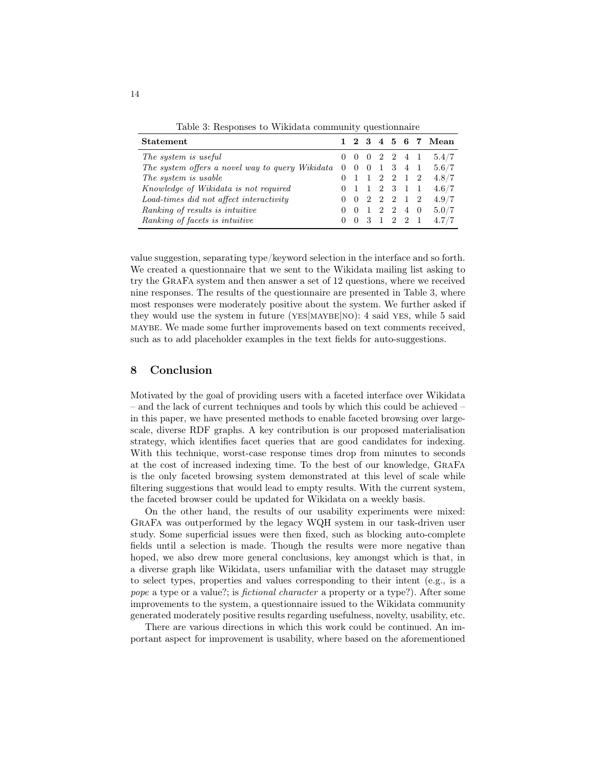<span id="page-13-1"></span>

| Statement                                       |                | $1\quad 2$                      | $\mathbf{3}$   |              |                |               |     | 4 5 6 7 Mean |
|-------------------------------------------------|----------------|---------------------------------|----------------|--------------|----------------|---------------|-----|--------------|
| The system is useful                            |                | $\begin{matrix} 0 \end{matrix}$ | -0             |              | 2 2 4 1        |               |     | 5.4/7        |
| The system offers a novel way to query Wikidata | $\overline{0}$ | $\overline{0}$                  | $\overline{0}$ | 1            |                | 3 4 1         |     | 5.6/7        |
| The system is usable                            |                |                                 | $\mathbf{1}$   |              | 2 2 1 2        |               |     | 4.8/7        |
| Knowledge of Wikidata is not required           |                |                                 | $\mathbf{1}$   |              | 2 3 1          |               |     | 4.6/7        |
| Load-times did not affect interactivity         |                | $\left( \right)$                | 2              | 2            | $\cdot$ 2      | 1 2           |     | 4.9/7        |
| Ranking of results is intuitive                 |                | $\left( \right)$                | -1             | 2            | $\overline{2}$ | 4             | - 0 | 5.0/7        |
| Ranking of facets is intuitive                  |                | $\theta$                        | 3              | $\mathbf{1}$ | $2^{\circ}$    | $\mathcal{D}$ |     | 4.7/7        |

Table 3: Responses to Wikidata community questionnaire

value suggestion, separating type/keyword selection in the interface and so forth. We created a questionnaire that we sent to the Wikidata mailing list asking to try the GraFa system and then answer a set of 12 questions, where we received nine responses. The results of the questionnaire are presented in Table [3,](#page-13-1) where most responses were moderately positive about the system. We further asked if they would use the system in future (YES|MAYBE|NO): 4 said YES, while 5 said maybe. We made some further improvements based on text comments received, such as to add placeholder examples in the text fields for auto-suggestions.

#### <span id="page-13-0"></span>8 Conclusion

Motivated by the goal of providing users with a faceted interface over Wikidata – and the lack of current techniques and tools by which this could be achieved – in this paper, we have presented methods to enable faceted browsing over largescale, diverse RDF graphs. A key contribution is our proposed materialisation strategy, which identifies facet queries that are good candidates for indexing. With this technique, worst-case response times drop from minutes to seconds at the cost of increased indexing time. To the best of our knowledge, GraFa is the only faceted browsing system demonstrated at this level of scale while filtering suggestions that would lead to empty results. With the current system, the faceted browser could be updated for Wikidata on a weekly basis.

On the other hand, the results of our usability experiments were mixed: GraFa was outperformed by the legacy WQH system in our task-driven user study. Some superficial issues were then fixed, such as blocking auto-complete fields until a selection is made. Though the results were more negative than hoped, we also drew more general conclusions, key amongst which is that, in a diverse graph like Wikidata, users unfamiliar with the dataset may struggle to select types, properties and values corresponding to their intent (e.g., is a pope a type or a value?; is fictional character a property or a type?). After some improvements to the system, a questionnaire issued to the Wikidata community generated moderately positive results regarding usefulness, novelty, usability, etc.

There are various directions in which this work could be continued. An important aspect for improvement is usability, where based on the aforementioned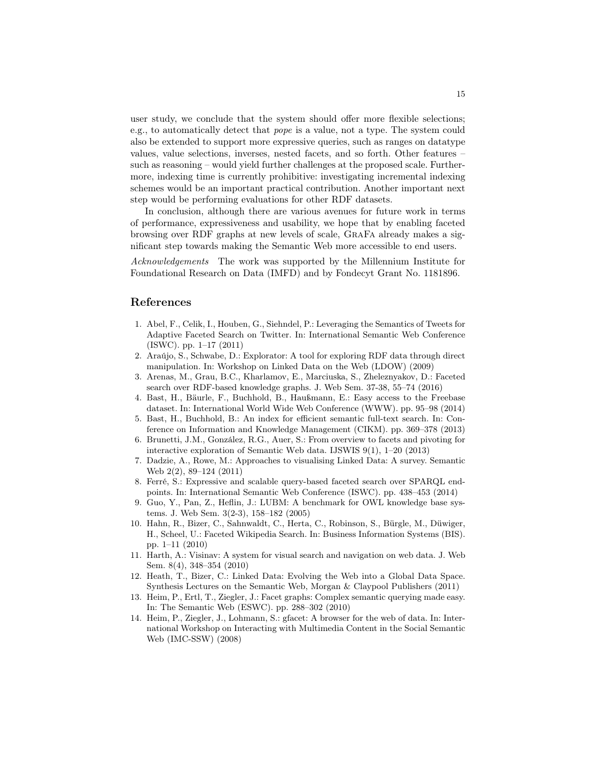user study, we conclude that the system should offer more flexible selections; e.g., to automatically detect that pope is a value, not a type. The system could also be extended to support more expressive queries, such as ranges on datatype values, value selections, inverses, nested facets, and so forth. Other features – such as reasoning – would yield further challenges at the proposed scale. Furthermore, indexing time is currently prohibitive: investigating incremental indexing schemes would be an important practical contribution. Another important next step would be performing evaluations for other RDF datasets.

In conclusion, although there are various avenues for future work in terms of performance, expressiveness and usability, we hope that by enabling faceted browsing over RDF graphs at new levels of scale, GraFa already makes a significant step towards making the Semantic Web more accessible to end users.

Acknowledgements The work was supported by the Millennium Institute for Foundational Research on Data (IMFD) and by Fondecyt Grant No. 1181896.

# References

- <span id="page-14-8"></span>1. Abel, F., Celik, I., Houben, G., Siehndel, P.: Leveraging the Semantics of Tweets for Adaptive Faceted Search on Twitter. In: International Semantic Web Conference (ISWC). pp. 1–17 (2011)
- <span id="page-14-5"></span>2. Araújo, S., Schwabe, D.: Explorator: A tool for exploring RDF data through direct manipulation. In: Workshop on Linked Data on the Web (LDOW) (2009)
- <span id="page-14-13"></span>3. Arenas, M., Grau, B.C., Kharlamov, E., Marciuska, S., Zheleznyakov, D.: Faceted search over RDF-based knowledge graphs. J. Web Sem. 37-38, 55–74 (2016)
- <span id="page-14-12"></span>4. Bast, H., Bäurle, F., Buchhold, B., Haußmann, E.: Easy access to the Freebase dataset. In: International World Wide Web Conference (WWW). pp. 95–98 (2014)
- <span id="page-14-2"></span>5. Bast, H., Buchhold, B.: An index for efficient semantic full-text search. In: Conference on Information and Knowledge Management (CIKM). pp. 369–378 (2013)
- <span id="page-14-6"></span>6. Brunetti, J.M., González, R.G., Auer, S.: From overview to facets and pivoting for interactive exploration of Semantic Web data. IJSWIS 9(1), 1–20 (2013)
- <span id="page-14-1"></span>7. Dadzie, A., Rowe, M.: Approaches to visualising Linked Data: A survey. Semantic Web 2(2), 89–124 (2011)
- <span id="page-14-7"></span>8. Ferré, S.: Expressive and scalable query-based faceted search over SPARQL endpoints. In: International Semantic Web Conference (ISWC). pp. 438–453 (2014)
- <span id="page-14-11"></span>9. Guo, Y., Pan, Z., Heflin, J.: LUBM: A benchmark for OWL knowledge base systems. J. Web Sem. 3(2-3), 158–182 (2005)
- <span id="page-14-10"></span>10. Hahn, R., Bizer, C., Sahnwaldt, C., Herta, C., Robinson, S., Bürgle, M., Düwiger, H., Scheel, U.: Faceted Wikipedia Search. In: Business Information Systems (BIS). pp. 1–11 (2010)
- <span id="page-14-9"></span>11. Harth, A.: Visinav: A system for visual search and navigation on web data. J. Web Sem. 8(4), 348–354 (2010)
- <span id="page-14-0"></span>12. Heath, T., Bizer, C.: Linked Data: Evolving the Web into a Global Data Space. Synthesis Lectures on the Semantic Web, Morgan & Claypool Publishers (2011)
- <span id="page-14-4"></span>13. Heim, P., Ertl, T., Ziegler, J.: Facet graphs: Complex semantic querying made easy. In: The Semantic Web (ESWC). pp. 288–302 (2010)
- <span id="page-14-3"></span>14. Heim, P., Ziegler, J., Lohmann, S.: gfacet: A browser for the web of data. In: International Workshop on Interacting with Multimedia Content in the Social Semantic Web (IMC-SSW) (2008)